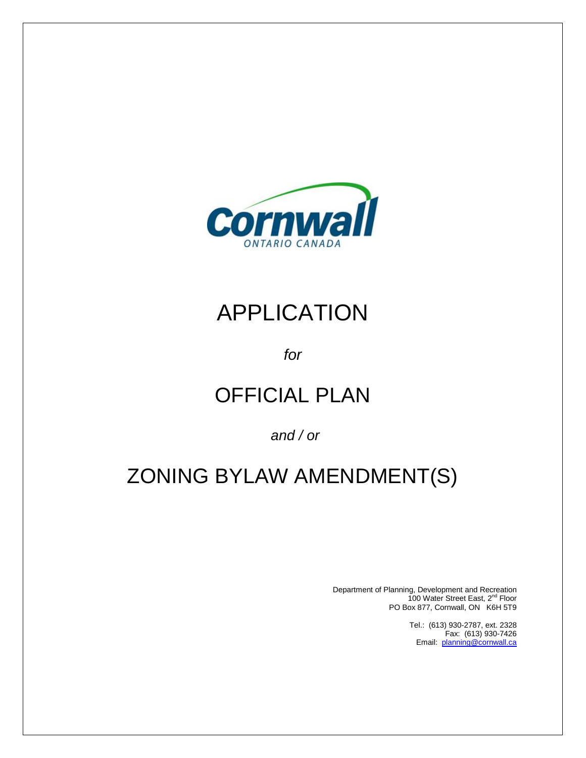

# APPLICATION

# *for*

# OFFICIAL PLAN

# *and / or*

# ZONING BYLAW AMENDMENT(S)

Department of Planning, Development and Recreation 100 Water Street East, 2nd Floor PO Box 877, Cornwall, ON K6H 5T9

> Tel.: (613) 930-2787, ext. 2328 Fax: (613) 930-7426 Email: [planning@cornwall.ca](mailto:planning@cornwall.ca)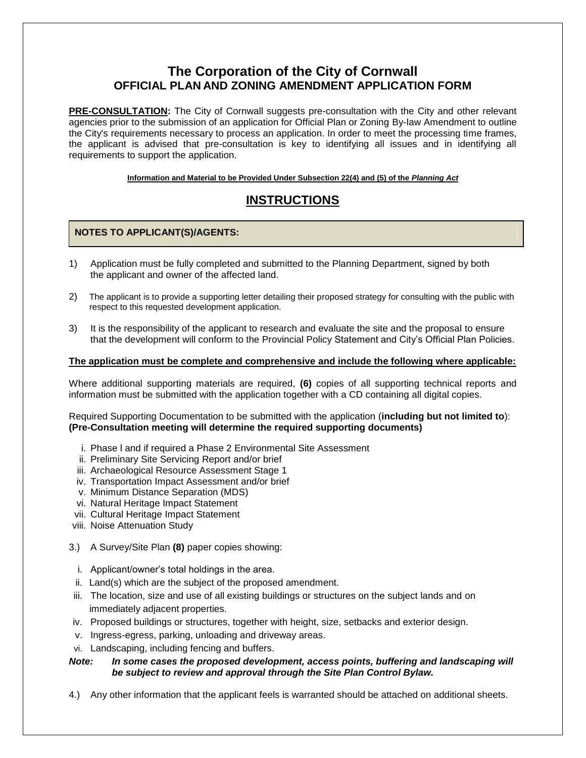# **The Corporation of the City of Cornwall OFFICIAL PLAN AND ZONING AMENDMENT APPLICATION FORM**

**PRE-CONSULTATION:** The City of Cornwall suggests pre-consultation with the City and other relevant agencies prior to the submission of an application for Official Plan or Zoning By-law Amendment to outline the City's requirements necessary to process an application. In order to meet the processing time frames, the applicant is advised that pre-consultation is key to identifying all issues and in identifying all requirements to support the application.

**Information and Material to be Provided Under Subsection 22(4) and (5) of the** *Planning Act*

# **INSTRUCTIONS**

## **NOTES TO APPLICANT(S)/AGENTS:**

- 1) Application must be fully completed and submitted to the Planning Department, signed by both the applicant and owner of the affected land.
- 2) The applicant is to provide a supporting letter detailing their proposed strategy for consulting with the public with respect to this requested development application.
- 3) It is the responsibility of the applicant to research and evaluate the site and the proposal to ensure that the development will conform to the Provincial Policy Statement and City's Official Plan Policies.

## **The application must be complete and comprehensive and include the following where applicable:**

Where additional supporting materials are required, **(6)** copies of all supporting technical reports and information must be submitted with the application together with a CD containing all digital copies.

Required Supporting Documentation to be submitted with the application (**including but not limited to**): **(Pre-Consultation meeting will determine the required supporting documents)** 

- i. Phase l and if required a Phase 2 Environmental Site Assessment
- ii. Preliminary Site Servicing Report and/or brief
- iii. Archaeological Resource Assessment Stage 1
- iv. Transportation Impact Assessment and/or brief
- v. Minimum Distance Separation (MDS)
- vi. Natural Heritage Impact Statement
- vii. Cultural Heritage Impact Statement
- viii. Noise Attenuation Study
- 3.) A Survey/Site Plan **(8)** paper copies showing:
	- i. Applicant/owner's total holdings in the area.
- ii. Land(s) which are the subject of the proposed amendment.
- iii. The location, size and use of all existing buildings or structures on the subject lands and on immediately adjacent properties.
- iv. Proposed buildings or structures, together with height, size, setbacks and exterior design.
- v. Ingress-egress, parking, unloading and driveway areas.
- vi. Landscaping, including fencing and buffers.

## *Note: In some cases the proposed development, access points, buffering and landscaping will be subject to review and approval through the Site Plan Control Bylaw.*

4.) Any other information that the applicant feels is warranted should be attached on additional sheets.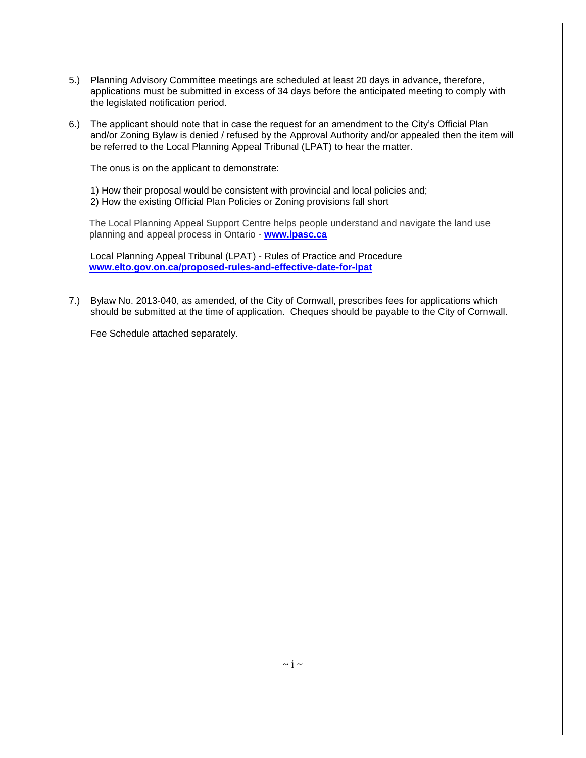- 5.) Planning Advisory Committee meetings are scheduled at least 20 days in advance, therefore, applications must be submitted in excess of 34 days before the anticipated meeting to comply with the legislated notification period.
- 6.) The applicant should note that in case the request for an amendment to the City's Official Plan and/or Zoning Bylaw is denied / refused by the Approval Authority and/or appealed then the item will be referred to the Local Planning Appeal Tribunal (LPAT) to hear the matter.

The onus is on the applicant to demonstrate:

1) How their proposal would be consistent with provincial and local policies and; 2) How the existing Official Plan Policies or Zoning provisions fall short

The Local Planning Appeal Support Centre helps people understand and navigate the land use planning and appeal process in Ontario - **[www.lpasc.ca](http://www.lpasc.ca/)**

Local Planning Appeal Tribunal (LPAT) - Rules of Practice and Procedure **[www.elto.gov.on.ca/proposed-rules-and-effective-date-for-lpat](http://www.elto.gov.on.ca/proposed-rules-and-effective-date-for-lpat)** 

7.) Bylaw No. 2013-040, as amended, of the City of Cornwall, prescribes fees for applications which should be submitted at the time of application. Cheques should be payable to the City of Cornwall.

Fee Schedule attached separately.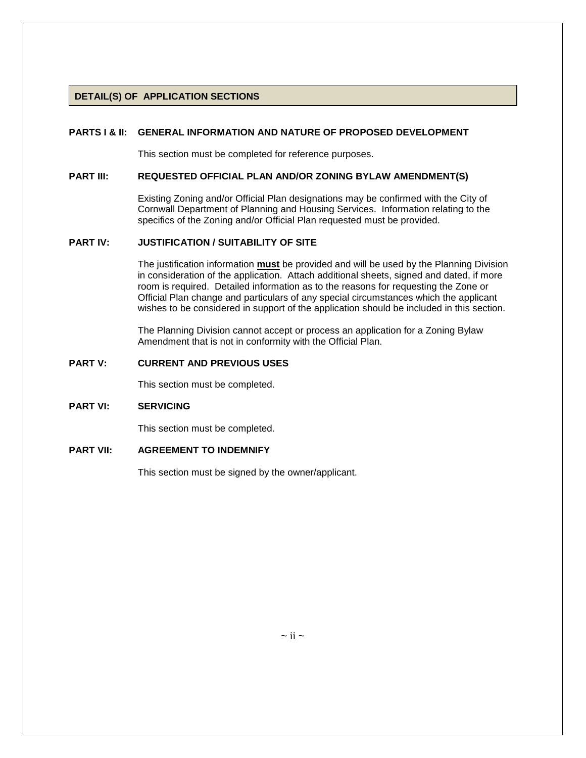### **DETAIL(S) OF APPLICATION SECTIONS**

#### **PARTS I & II: GENERAL INFORMATION AND NATURE OF PROPOSED DEVELOPMENT**

This section must be completed for reference purposes.

#### **PART III: REQUESTED OFFICIAL PLAN AND/OR ZONING BYLAW AMENDMENT(S)**

Existing Zoning and/or Official Plan designations may be confirmed with the City of Cornwall Department of Planning and Housing Services. Information relating to the specifics of the Zoning and/or Official Plan requested must be provided.

### **PART IV: JUSTIFICATION / SUITABILITY OF SITE**

The justification information **must** be provided and will be used by the Planning Division in consideration of the application. Attach additional sheets, signed and dated, if more room is required. Detailed information as to the reasons for requesting the Zone or Official Plan change and particulars of any special circumstances which the applicant wishes to be considered in support of the application should be included in this section.

The Planning Division cannot accept or process an application for a Zoning Bylaw Amendment that is not in conformity with the Official Plan.

#### **PART V: CURRENT AND PREVIOUS USES**

This section must be completed.

#### **PART VI: SERVICING**

This section must be completed.

## **PART VII: AGREEMENT TO INDEMNIFY**

This section must be signed by the owner/applicant.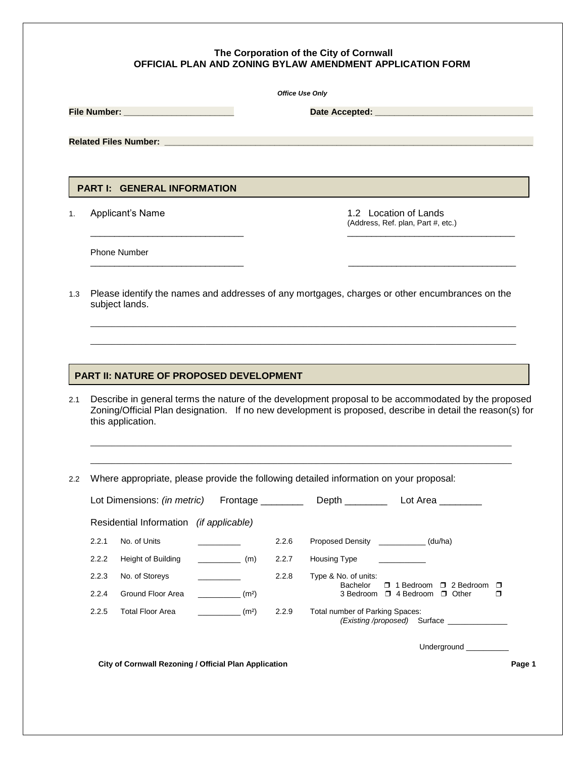#### **The Corporation of the City of Cornwall OFFICIAL PLAN AND ZONING BYLAW AMENDMENT APPLICATION FORM**

|       |                                         |                   | <b>Office Use Only</b> |                   |                                                                                                                                                                                                                  |  |  |  |  |
|-------|-----------------------------------------|-------------------|------------------------|-------------------|------------------------------------------------------------------------------------------------------------------------------------------------------------------------------------------------------------------|--|--|--|--|
|       |                                         |                   |                        |                   |                                                                                                                                                                                                                  |  |  |  |  |
|       |                                         |                   |                        |                   |                                                                                                                                                                                                                  |  |  |  |  |
|       |                                         |                   |                        |                   |                                                                                                                                                                                                                  |  |  |  |  |
|       |                                         |                   |                        |                   |                                                                                                                                                                                                                  |  |  |  |  |
|       | <b>PART I: GENERAL INFORMATION</b>      |                   |                        |                   |                                                                                                                                                                                                                  |  |  |  |  |
|       | Applicant's Name                        |                   |                        |                   | 1.2 Location of Lands<br>(Address, Ref. plan, Part #, etc.)                                                                                                                                                      |  |  |  |  |
|       | <b>Phone Number</b>                     |                   |                        |                   |                                                                                                                                                                                                                  |  |  |  |  |
| 1.3   | subject lands.                          |                   |                        |                   | Please identify the names and addresses of any mortgages, charges or other encumbrances on the                                                                                                                   |  |  |  |  |
|       |                                         |                   |                        |                   |                                                                                                                                                                                                                  |  |  |  |  |
|       |                                         |                   |                        |                   |                                                                                                                                                                                                                  |  |  |  |  |
|       |                                         |                   |                        |                   |                                                                                                                                                                                                                  |  |  |  |  |
|       | PART II: NATURE OF PROPOSED DEVELOPMENT |                   |                        |                   |                                                                                                                                                                                                                  |  |  |  |  |
| 2.1   | this application.                       |                   |                        |                   | Describe in general terms the nature of the development proposal to be accommodated by the proposed<br>Zoning/Official Plan designation. If no new development is proposed, describe in detail the reason(s) for |  |  |  |  |
|       |                                         |                   |                        |                   |                                                                                                                                                                                                                  |  |  |  |  |
|       |                                         |                   |                        |                   | Where appropriate, please provide the following detailed information on your proposal:                                                                                                                           |  |  |  |  |
|       | Lot Dimensions: (in metric)             |                   |                        | Frontage ________ |                                                                                                                                                                                                                  |  |  |  |  |
| 2.2   | Residential Information (if applicable) |                   |                        |                   |                                                                                                                                                                                                                  |  |  |  |  |
| 2.2.1 | No. of Units                            |                   |                        | 2.2.6             | Proposed Density (du/ha)                                                                                                                                                                                         |  |  |  |  |
| 2.2.2 | Height of Building                      | $\sqrt{(m)}$      |                        | 2.2.7             | Housing Type                                                                                                                                                                                                     |  |  |  |  |
| 2.2.3 | No. of Storeys                          |                   |                        | 2.2.8             | Type & No. of units:                                                                                                                                                                                             |  |  |  |  |
| 2.2.4 | Ground Floor Area                       | (m <sup>2</sup> ) |                        |                   | Bachelor<br>□ 1 Bedroom □ 2 Bedroom<br>$\Box$<br>3 Bedroom □ 4 Bedroom □ Other<br>$\Box$                                                                                                                         |  |  |  |  |
| 2.2.5 | <b>Total Floor Area</b>                 | (m <sup>2</sup> ) |                        | 2.2.9             | Total number of Parking Spaces:<br>(Existing /proposed) Surface _____________                                                                                                                                    |  |  |  |  |
|       |                                         |                   |                        |                   | Underground                                                                                                                                                                                                      |  |  |  |  |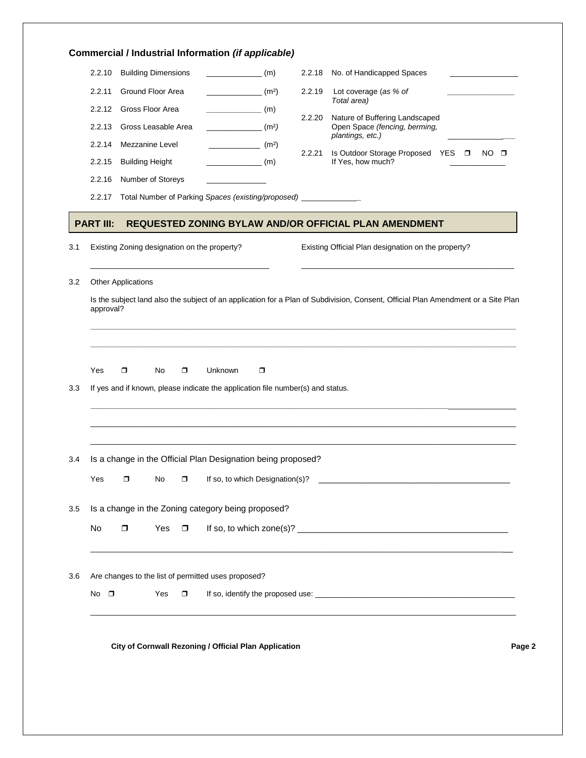|                          | 2.2.10           | <b>Building Dimensions</b>                                                                      |        |                                 | (m)               | 2.2.18 | No. of Handicapped Spaces<br>the control of the control of the  |  |
|--------------------------|------------------|-------------------------------------------------------------------------------------------------|--------|---------------------------------|-------------------|--------|-----------------------------------------------------------------|--|
|                          | 2.2.11           | <b>Ground Floor Area</b>                                                                        |        |                                 | (m <sup>2</sup> ) | 2.2.19 | Lot coverage (as % of                                           |  |
|                          | 2.2.12           | Gross Floor Area                                                                                |        | $\overline{\hspace{1cm}}$ (m)   |                   |        | Total area)                                                     |  |
|                          | 2.2.13           | Gross Leasable Area                                                                             |        | $\frac{1}{2}$ (m <sup>2</sup> ) |                   | 2.2.20 | Nature of Buffering Landscaped<br>Open Space (fencing, berming, |  |
|                          | 2.2.14           | Mezzanine Level                                                                                 |        | $\frac{1}{2}$ (m <sup>2</sup> ) |                   |        | plantings, etc.)                                                |  |
|                          | 2.2.15           | <b>Building Height</b>                                                                          |        | $\frac{1}{2}$ (m)               |                   | 2.2.21 | Is Outdoor Storage Proposed YES □ NO □<br>If Yes, how much?     |  |
|                          | 2.2.16           | Number of Storeys                                                                               |        |                                 |                   |        |                                                                 |  |
|                          | 2.2.17           | Total Number of Parking Spaces (existing/proposed) ______________                               |        |                                 |                   |        |                                                                 |  |
|                          | <b>PART III:</b> |                                                                                                 |        |                                 |                   |        | REQUESTED ZONING BYLAW AND/OR OFFICIAL PLAN AMENDMENT           |  |
|                          |                  | Existing Zoning designation on the property?                                                    |        |                                 |                   |        | Existing Official Plan designation on the property?             |  |
|                          |                  |                                                                                                 |        |                                 |                   |        |                                                                 |  |
|                          |                  |                                                                                                 |        |                                 |                   |        |                                                                 |  |
|                          | Yes              | $\Box$<br>No<br>If yes and if known, please indicate the application file number(s) and status. | $\Box$ | Unknown                         | $\Box$            |        |                                                                 |  |
|                          |                  | Is a change in the Official Plan Designation being proposed?                                    |        |                                 |                   |        |                                                                 |  |
|                          | Yes              | $\Box$<br>No                                                                                    | $\Box$ |                                 |                   |        |                                                                 |  |
|                          |                  | Is a change in the Zoning category being proposed?                                              |        |                                 |                   |        |                                                                 |  |
|                          | No               | $\Box$<br>Yes $\Box$                                                                            |        |                                 |                   |        |                                                                 |  |
| 3.3<br>3.4<br>3.5<br>3.6 |                  | Are changes to the list of permitted uses proposed?                                             |        |                                 |                   |        |                                                                 |  |
|                          | No $\square$     | Yes                                                                                             | $\Box$ |                                 |                   |        |                                                                 |  |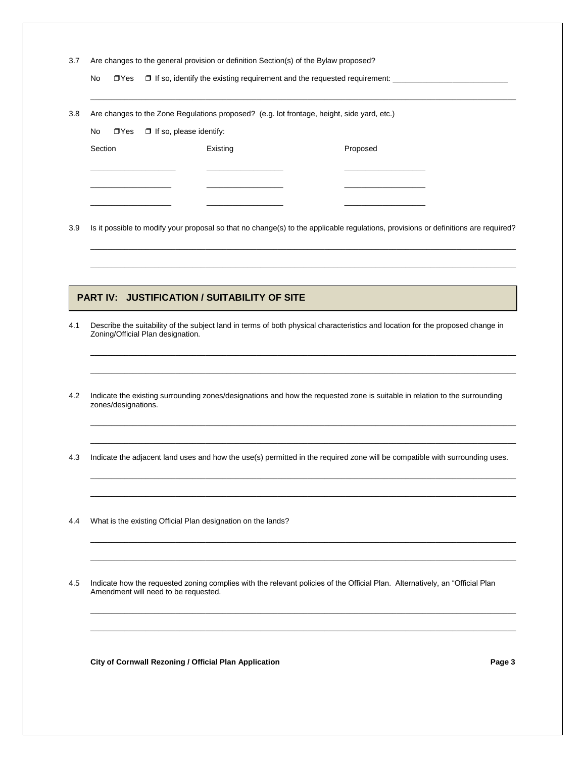| 3.7 Are changes to the general provision or definition Section(s) of the Bylaw proposed? |  |  |
|------------------------------------------------------------------------------------------|--|--|
|                                                                                          |  |  |

No □ Yes □ If so, identify the existing requirement and the requested requirement:

| Are changes to the Zone Regulations proposed? (e.g. lot frontage, height, side yard, etc.)<br>3.8 |  |  |  |
|---------------------------------------------------------------------------------------------------|--|--|--|
|---------------------------------------------------------------------------------------------------|--|--|--|

|         | No $\Box$ Yes $\Box$ If so, please identify: |          |          |  |  |  |  |  |
|---------|----------------------------------------------|----------|----------|--|--|--|--|--|
| Section |                                              | Existing | Proposed |  |  |  |  |  |
|         |                                              |          |          |  |  |  |  |  |
|         |                                              |          |          |  |  |  |  |  |
|         |                                              |          |          |  |  |  |  |  |
|         |                                              |          |          |  |  |  |  |  |

3.9 Is it possible to modify your proposal so that no change(s) to the applicable regulations, provisions or definitions are required?

\_\_\_\_\_\_\_\_\_\_\_\_\_\_\_\_\_\_\_\_\_\_\_\_\_\_\_\_\_\_\_\_\_\_\_\_\_\_\_\_\_\_\_\_\_\_\_\_\_\_\_\_\_\_\_\_\_\_\_\_\_\_\_\_\_\_\_\_\_\_\_\_\_\_\_\_\_\_\_\_\_\_\_\_\_\_\_\_\_\_\_\_\_\_\_\_\_\_\_\_ \_\_\_\_\_\_\_\_\_\_\_\_\_\_\_\_\_\_\_\_\_\_\_\_\_\_\_\_\_\_\_\_\_\_\_\_\_\_\_\_\_\_\_\_\_\_\_\_\_\_\_\_\_\_\_\_\_\_\_\_\_\_\_\_\_\_\_\_\_\_\_\_\_\_\_\_\_\_\_\_\_\_\_\_\_\_\_\_\_\_\_\_\_\_\_\_\_\_\_\_

\_\_\_\_\_\_\_\_\_\_\_\_\_\_\_\_\_\_\_\_\_\_\_\_\_\_\_\_\_\_\_\_\_\_\_\_\_\_\_\_\_\_\_\_\_\_\_\_\_\_\_\_\_\_\_\_\_\_\_\_\_\_\_\_\_\_\_\_\_\_\_\_\_\_\_\_\_\_\_\_\_\_\_\_\_\_\_\_\_\_\_\_\_\_\_\_\_\_\_\_ \_\_\_\_\_\_\_\_\_\_\_\_\_\_\_\_\_\_\_\_\_\_\_\_\_\_\_\_\_\_\_\_\_\_\_\_\_\_\_\_\_\_\_\_\_\_\_\_\_\_\_\_\_\_\_\_\_\_\_\_\_\_\_\_\_\_\_\_\_\_\_\_\_\_\_\_\_\_\_\_\_\_\_\_\_\_\_\_\_\_\_\_\_\_\_\_\_\_\_\_

\_\_\_\_\_\_\_\_\_\_\_\_\_\_\_\_\_\_\_\_\_\_\_\_\_\_\_\_\_\_\_\_\_\_\_\_\_\_\_\_\_\_\_\_\_\_\_\_\_\_\_\_\_\_\_\_\_\_\_\_\_\_\_\_\_\_\_\_\_\_\_\_\_\_\_\_\_\_\_\_\_\_\_\_\_\_\_\_\_\_\_\_\_\_\_\_\_\_\_\_ \_\_\_\_\_\_\_\_\_\_\_\_\_\_\_\_\_\_\_\_\_\_\_\_\_\_\_\_\_\_\_\_\_\_\_\_\_\_\_\_\_\_\_\_\_\_\_\_\_\_\_\_\_\_\_\_\_\_\_\_\_\_\_\_\_\_\_\_\_\_\_\_\_\_\_\_\_\_\_\_\_\_\_\_\_\_\_\_\_\_\_\_\_\_\_\_\_\_\_\_

\_\_\_\_\_\_\_\_\_\_\_\_\_\_\_\_\_\_\_\_\_\_\_\_\_\_\_\_\_\_\_\_\_\_\_\_\_\_\_\_\_\_\_\_\_\_\_\_\_\_\_\_\_\_\_\_\_\_\_\_\_\_\_\_\_\_\_\_\_\_\_\_\_\_\_\_\_\_\_\_\_\_\_\_\_\_\_\_\_\_\_\_\_\_\_\_\_\_\_\_ \_\_\_\_\_\_\_\_\_\_\_\_\_\_\_\_\_\_\_\_\_\_\_\_\_\_\_\_\_\_\_\_\_\_\_\_\_\_\_\_\_\_\_\_\_\_\_\_\_\_\_\_\_\_\_\_\_\_\_\_\_\_\_\_\_\_\_\_\_\_\_\_\_\_\_\_\_\_\_\_\_\_\_\_\_\_\_\_\_\_\_\_\_\_\_\_\_\_\_\_

\_\_\_\_\_\_\_\_\_\_\_\_\_\_\_\_\_\_\_\_\_\_\_\_\_\_\_\_\_\_\_\_\_\_\_\_\_\_\_\_\_\_\_\_\_\_\_\_\_\_\_\_\_\_\_\_\_\_\_\_\_\_\_\_\_\_\_\_\_\_\_\_\_\_\_\_\_\_\_\_\_\_\_\_\_\_\_\_\_\_\_\_\_\_\_\_\_\_\_\_ \_\_\_\_\_\_\_\_\_\_\_\_\_\_\_\_\_\_\_\_\_\_\_\_\_\_\_\_\_\_\_\_\_\_\_\_\_\_\_\_\_\_\_\_\_\_\_\_\_\_\_\_\_\_\_\_\_\_\_\_\_\_\_\_\_\_\_\_\_\_\_\_\_\_\_\_\_\_\_\_\_\_\_\_\_\_\_\_\_\_\_\_\_\_\_\_\_\_\_\_

\_\_\_\_\_\_\_\_\_\_\_\_\_\_\_\_\_\_\_\_\_\_\_\_\_\_\_\_\_\_\_\_\_\_\_\_\_\_\_\_\_\_\_\_\_\_\_\_\_\_\_\_\_\_\_\_\_\_\_\_\_\_\_\_\_\_\_\_\_\_\_\_\_\_\_\_\_\_\_\_\_\_\_\_\_\_\_\_\_\_\_\_\_\_\_\_\_\_\_\_ \_\_\_\_\_\_\_\_\_\_\_\_\_\_\_\_\_\_\_\_\_\_\_\_\_\_\_\_\_\_\_\_\_\_\_\_\_\_\_\_\_\_\_\_\_\_\_\_\_\_\_\_\_\_\_\_\_\_\_\_\_\_\_\_\_\_\_\_\_\_\_\_\_\_\_\_\_\_\_\_\_\_\_\_\_\_\_\_\_\_\_\_\_\_\_\_\_\_\_\_

\_\_\_\_\_\_\_\_\_\_\_\_\_\_\_\_\_\_\_\_\_\_\_\_\_\_\_\_\_\_\_\_\_\_\_\_\_\_\_\_\_\_\_\_\_\_\_\_\_\_\_\_\_\_\_\_\_\_\_\_\_\_\_\_\_\_\_\_\_\_\_\_\_\_\_\_\_\_\_\_\_\_\_\_\_\_\_\_\_\_\_\_\_\_\_\_\_\_\_\_

## **PART IV: JUSTIFICATION / SUITABILITY OF SITE**

- 4.1 Describe the suitability of the subject land in terms of both physical characteristics and location for the proposed change in Zoning/Official Plan designation.
- 4.2 Indicate the existing surrounding zones/designations and how the requested zone is suitable in relation to the surrounding zones/designations.
- 4.3 Indicate the adjacent land uses and how the use(s) permitted in the required zone will be compatible with surrounding uses.
- 4.4 What is the existing Official Plan designation on the lands?
- 4.5 Indicate how the requested zoning complies with the relevant policies of the Official Plan. Alternatively, an "Official Plan Amendment will need to be requested.

**City of Cornwall Rezoning / Official Plan Application Page 3**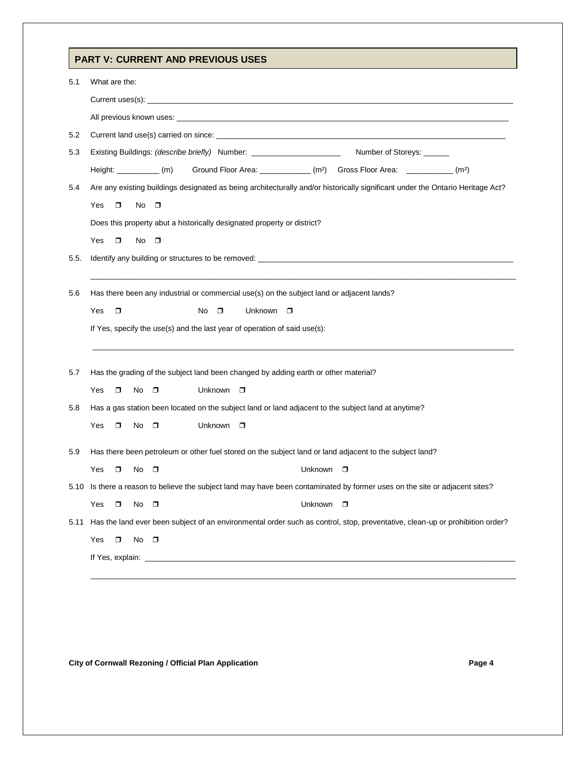# **PART V: CURRENT AND PREVIOUS USES**

| 5.1  | What are the:                                                                                                                     |
|------|-----------------------------------------------------------------------------------------------------------------------------------|
|      |                                                                                                                                   |
|      |                                                                                                                                   |
| 5.2  |                                                                                                                                   |
| 5.3  | Existing Buildings: (describe briefly) Number: _________________________<br>Number of Storeys: ______                             |
|      | Ground Floor Area: _____________ (m <sup>2</sup> ) Gross Floor Area: ____________ (m <sup>2</sup> )<br>$Height:$ (m)              |
| 5.4  | Are any existing buildings designated as being architecturally and/or historically significant under the Ontario Heritage Act?    |
|      | Yes<br>$\Box$<br>No $\square$                                                                                                     |
|      | Does this property abut a historically designated property or district?                                                           |
|      | Yes<br>$\Box$<br>No<br>$\Box$                                                                                                     |
| 5.5. |                                                                                                                                   |
|      |                                                                                                                                   |
| 5.6  | Has there been any industrial or commercial use(s) on the subject land or adjacent lands?                                         |
|      | Yes<br>$\Box$<br>Unknown<br>No<br>σ<br>$\Box$                                                                                     |
|      | If Yes, specify the use(s) and the last year of operation of said use(s):                                                         |
|      |                                                                                                                                   |
| 5.7  | Has the grading of the subject land been changed by adding earth or other material?                                               |
|      | Unknown<br>Yes<br>No<br>$\Box$<br>$\Box$<br>$\Box$                                                                                |
| 5.8  | Has a gas station been located on the subject land or land adjacent to the subject land at anytime?                               |
|      | Unknown<br>Yes<br>No<br>$\Box$<br>$\Box$<br>$\Box$                                                                                |
|      |                                                                                                                                   |
| 5.9  | Has there been petroleum or other fuel stored on the subject land or land adjacent to the subject land?                           |
|      | Yes<br>No<br>Unknown<br>$\Box$<br>$\Box$<br>$\Box$                                                                                |
|      | 5.10 Is there a reason to believe the subject land may have been contaminated by former uses on the site or adjacent sites?       |
|      | Unknown<br>Yes<br>No<br>σ<br>$\Box$<br>□                                                                                          |
|      | 5.11 Has the land ever been subject of an environmental order such as control, stop, preventative, clean-up or prohibition order? |
|      | $No$ $\Box$<br>Yes<br>$\Box$                                                                                                      |
|      |                                                                                                                                   |
|      |                                                                                                                                   |

City of Cornwall Rezoning / Official Plan Application **Page 4** Page 4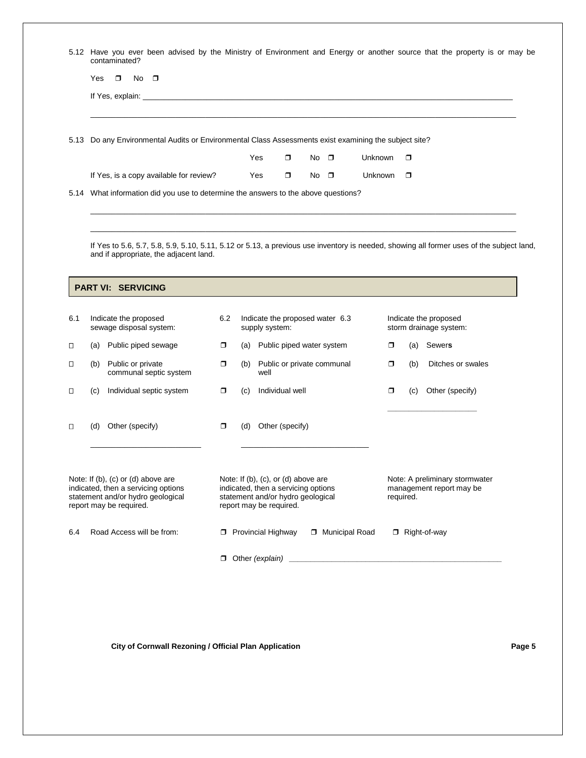|      | Yes<br>$\Box$                                                | $No$ $\Box$                                                                                                                                                                                                                    |        |     |                                                              |             |                |           |        |                                                                                                                                          |
|------|--------------------------------------------------------------|--------------------------------------------------------------------------------------------------------------------------------------------------------------------------------------------------------------------------------|--------|-----|--------------------------------------------------------------|-------------|----------------|-----------|--------|------------------------------------------------------------------------------------------------------------------------------------------|
|      |                                                              | If Yes, explain: Letter and the state of the state of the state of the state of the state of the state of the state of the state of the state of the state of the state of the state of the state of the state of the state of |        |     |                                                              |             |                |           |        |                                                                                                                                          |
|      |                                                              | 5.13 Do any Environmental Audits or Environmental Class Assessments exist examining the subject site?                                                                                                                          |        |     |                                                              |             |                |           |        |                                                                                                                                          |
|      |                                                              |                                                                                                                                                                                                                                |        |     | Yes<br>$\Box$                                                | No $\Box$   | <b>Unknown</b> |           | $\Box$ |                                                                                                                                          |
|      |                                                              | If Yes, is a copy available for review?                                                                                                                                                                                        |        |     | Yes<br>$\Box$                                                | $No$ $\Box$ | <b>Unknown</b> |           | $\Box$ |                                                                                                                                          |
| 5.14 |                                                              | What information did you use to determine the answers to the above questions?                                                                                                                                                  |        |     |                                                              |             |                |           |        |                                                                                                                                          |
|      |                                                              |                                                                                                                                                                                                                                |        |     |                                                              |             |                |           |        |                                                                                                                                          |
|      |                                                              |                                                                                                                                                                                                                                |        |     |                                                              |             |                |           |        |                                                                                                                                          |
|      |                                                              |                                                                                                                                                                                                                                |        |     |                                                              |             |                |           |        | If Yes to 5.6, 5.7, 5.8, 5.9, 5.10, 5.11, 5.12 or 5.13, a previous use inventory is needed, showing all former uses of the subject land, |
|      |                                                              | and if appropriate, the adjacent land.                                                                                                                                                                                         |        |     |                                                              |             |                |           |        |                                                                                                                                          |
|      |                                                              |                                                                                                                                                                                                                                |        |     |                                                              |             |                |           |        |                                                                                                                                          |
|      |                                                              |                                                                                                                                                                                                                                |        |     |                                                              |             |                |           |        |                                                                                                                                          |
|      | <b>PART VI: SERVICING</b>                                    |                                                                                                                                                                                                                                |        |     |                                                              |             |                |           |        |                                                                                                                                          |
|      |                                                              |                                                                                                                                                                                                                                |        |     |                                                              |             |                |           |        |                                                                                                                                          |
| 6.1  | Indicate the proposed<br>sewage disposal system:             |                                                                                                                                                                                                                                | 6.2    |     | Indicate the proposed water 6.3<br>supply system:            |             |                |           |        | Indicate the proposed<br>storm drainage system:                                                                                          |
|      | (a) Public piped sewage                                      |                                                                                                                                                                                                                                | $\Box$ |     | (a) Public piped water system                                |             |                | $\Box$    | (a)    | Sewers                                                                                                                                   |
|      | (b) Public or private                                        | communal septic system                                                                                                                                                                                                         | $\Box$ | (b) | Public or private communal<br>well                           |             |                | $\Box$    | (b)    | Ditches or swales                                                                                                                        |
|      | (C)                                                          | Individual septic system                                                                                                                                                                                                       | $\Box$ | (c) | Individual well                                              |             |                | $\Box$    | (C)    | Other (specify)                                                                                                                          |
|      |                                                              |                                                                                                                                                                                                                                |        |     |                                                              |             |                |           |        |                                                                                                                                          |
|      |                                                              |                                                                                                                                                                                                                                |        |     |                                                              |             |                |           |        |                                                                                                                                          |
|      | Other (specify)<br>(d)                                       |                                                                                                                                                                                                                                | $\Box$ | (d) | Other (specify)                                              |             |                |           |        |                                                                                                                                          |
|      |                                                              |                                                                                                                                                                                                                                |        |     |                                                              |             |                |           |        |                                                                                                                                          |
|      |                                                              |                                                                                                                                                                                                                                |        |     |                                                              |             |                |           |        |                                                                                                                                          |
|      | Note: If (b), (c) or (d) above are                           |                                                                                                                                                                                                                                |        |     | Note: If (b), (c), or (d) above are                          |             |                |           |        | Note: A preliminary stormwater                                                                                                           |
|      | indicated, then a servicing options                          |                                                                                                                                                                                                                                |        |     | indicated, then a servicing options                          |             |                |           |        | management report may be                                                                                                                 |
|      | statement and/or hydro geological<br>report may be required. |                                                                                                                                                                                                                                |        |     | statement and/or hydro geological<br>report may be required. |             |                | required. |        |                                                                                                                                          |
|      |                                                              |                                                                                                                                                                                                                                |        |     |                                                              |             |                |           |        |                                                                                                                                          |

City of Cornwall Rezoning / Official Plan Application **Page 5** Page 5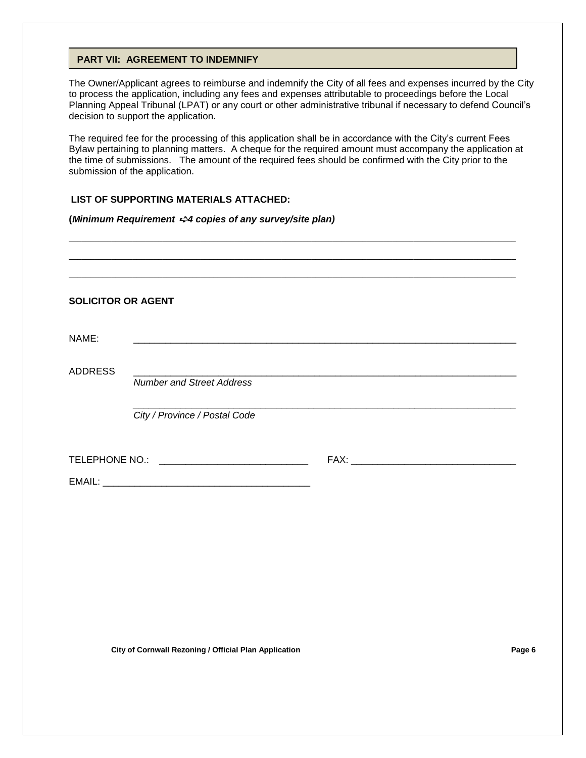### **PART VII: AGREEMENT TO INDEMNIFY**

The Owner/Applicant agrees to reimburse and indemnify the City of all fees and expenses incurred by the City to process the application, including any fees and expenses attributable to proceedings before the Local Planning Appeal Tribunal (LPAT) or any court or other administrative tribunal if necessary to defend Council's decision to support the application.

The required fee for the processing of this application shall be in accordance with the City's current Fees Bylaw pertaining to planning matters. A cheque for the required amount must accompany the application at the time of submissions. The amount of the required fees should be confirmed with the City prior to the submission of the application.

## **LIST OF SUPPORTING MATERIALS ATTACHED:**

#### **(***Minimum Requirement* ➪*4 copies of any survey/site plan)*

| <b>SOLICITOR OR AGENT</b> |                                                |  |
|---------------------------|------------------------------------------------|--|
| NAME:                     |                                                |  |
| <b>ADDRESS</b>            | <b>Number and Street Address</b>               |  |
|                           |                                                |  |
|                           | City / Province / Postal Code                  |  |
|                           | TELEPHONE NO.: _______________________________ |  |
|                           |                                                |  |
|                           |                                                |  |

**City of Cornwall Rezoning / Official Plan Application Page 6**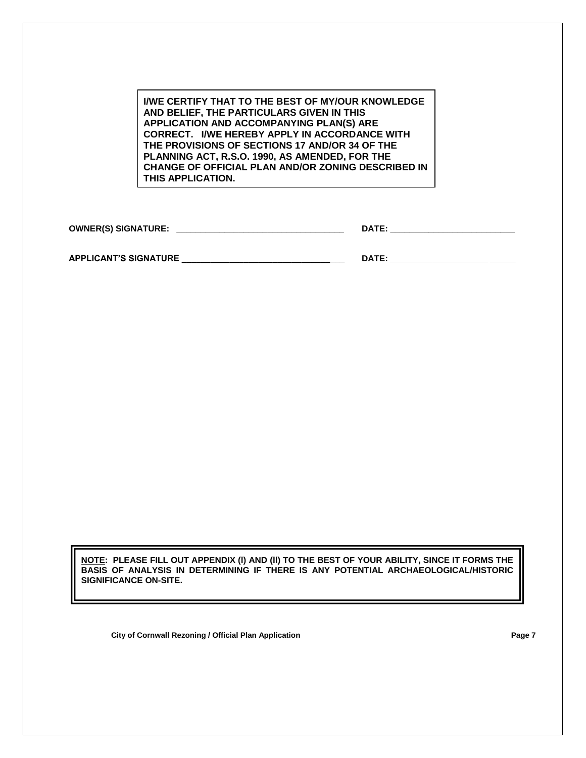**I/WE CERTIFY THAT TO THE BEST OF MY/OUR KNOWLEDGE AND BELIEF, THE PARTICULARS GIVEN IN THIS APPLICATION AND ACCOMPANYING PLAN(S) ARE CORRECT. I/WE HEREBY APPLY IN ACCORDANCE WITH THE PROVISIONS OF SECTIONS 17 AND/OR 34 OF THE PLANNING ACT, R.S.O. 1990, AS AMENDED, FOR THE CHANGE OF OFFICIAL PLAN AND/OR ZONING DESCRIBED IN THIS APPLICATION.**

**OWNER(S) SIGNATURE: \_\_\_\_\_\_\_\_\_\_\_\_\_\_\_\_\_\_\_\_\_\_\_\_\_\_\_\_\_\_\_\_\_\_\_ DATE: \_\_\_\_\_\_\_\_\_\_\_\_\_\_\_\_\_\_\_\_\_\_\_\_\_\_**

**APPLICANT'S SIGNATURE \_\_\_\_\_\_\_\_\_\_\_\_\_\_\_\_\_\_\_\_\_\_\_\_\_\_\_\_\_\_\_\_\_\_ DATE: \_\_\_\_\_\_\_\_\_\_\_\_\_\_\_\_\_\_\_\_\_\_\_ \_\_\_\_\_\_**

**NOTE: PLEASE FILL OUT APPENDIX (l) AND (ll) TO THE BEST OF YOUR ABILITY, SINCE IT FORMS THE BASIS OF ANALYSIS IN DETERMINING IF THERE IS ANY POTENTIAL ARCHAEOLOGICAL/HISTORIC SIGNIFICANCE ON-SITE.** 

**City of Cornwall Rezoning / Official Plan Application Page 7**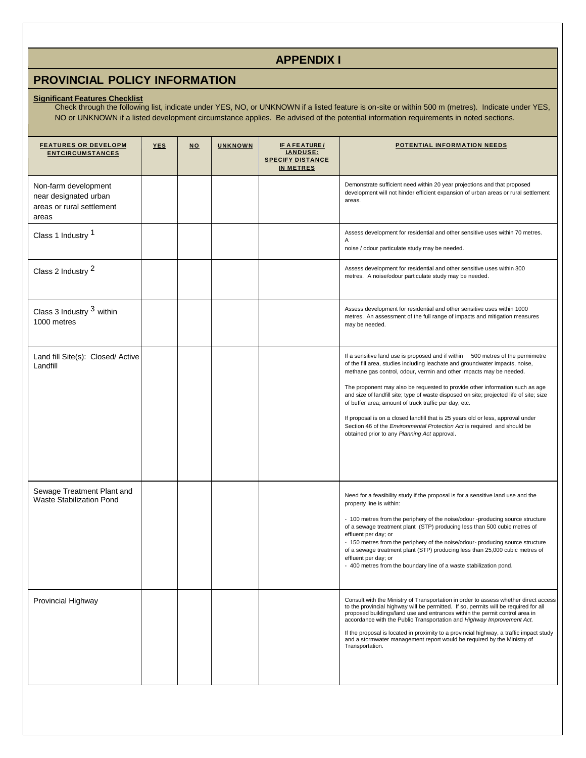## **APPENDIX I**

# **PROVINCIAL POLICY INFORMATION**

#### **Significant Features Checklist**

Check through the following list, indicate under YES, NO, or UNKNOWN if a listed feature is on-site or within 500 m (metres). Indicate under YES, NO or UNKNOWN if a listed development circumstance applies. Be advised of the potential information requirements in noted sections.

| <b>FEATURES OR DEVELOPM</b><br><b>ENTCIRCUMSTANCES</b>                              | <b>YES</b> | <b>NO</b> | <b>UNKNOWN</b> | <b>IF A FEATURE/</b><br>LANDUSE:<br><b>SPECIFY DISTANCE</b><br><b>IN METRES</b> | <u>POTENTIAL INFORMATION NEEDS</u>                                                                                                                                                                                                                                                                                                                                                                                                                                                                                                                                                                                                                                                        |
|-------------------------------------------------------------------------------------|------------|-----------|----------------|---------------------------------------------------------------------------------|-------------------------------------------------------------------------------------------------------------------------------------------------------------------------------------------------------------------------------------------------------------------------------------------------------------------------------------------------------------------------------------------------------------------------------------------------------------------------------------------------------------------------------------------------------------------------------------------------------------------------------------------------------------------------------------------|
| Non-farm development<br>near designated urban<br>areas or rural settlement<br>areas |            |           |                |                                                                                 | Demonstrate sufficient need within 20 year projections and that proposed<br>development will not hinder efficient expansion of urban areas or rural settlement<br>areas.                                                                                                                                                                                                                                                                                                                                                                                                                                                                                                                  |
| Class 1 Industry 1                                                                  |            |           |                |                                                                                 | Assess development for residential and other sensitive uses within 70 metres.<br>Α<br>noise / odour particulate study may be needed.                                                                                                                                                                                                                                                                                                                                                                                                                                                                                                                                                      |
| Class 2 Industry 2                                                                  |            |           |                |                                                                                 | Assess development for residential and other sensitive uses within 300<br>metres. A noise/odour particulate study may be needed.                                                                                                                                                                                                                                                                                                                                                                                                                                                                                                                                                          |
| Class 3 Industry <sup>3</sup> within<br>1000 metres                                 |            |           |                |                                                                                 | Assess development for residential and other sensitive uses within 1000<br>metres. An assessment of the full range of impacts and mitigation measures<br>may be needed.                                                                                                                                                                                                                                                                                                                                                                                                                                                                                                                   |
| Land fill Site(s): Closed/ Active<br>Landfill                                       |            |           |                |                                                                                 | If a sensitive land use is proposed and if within 500 metres of the permimetre<br>of the fill area, studies including leachate and groundwater impacts, noise,<br>methane gas control, odour, vermin and other impacts may be needed.<br>The proponent may also be requested to provide other information such as age<br>and size of landfill site; type of waste disposed on site; projected life of site; size<br>of buffer area; amount of truck traffic per day, etc.<br>If proposal is on a closed landfill that is 25 years old or less, approval under<br>Section 46 of the Environmental Protection Act is required and should be<br>obtained prior to any Planning Act approval. |
| Sewage Treatment Plant and<br><b>Waste Stabilization Pond</b>                       |            |           |                |                                                                                 | Need for a feasibility study if the proposal is for a sensitive land use and the<br>property line is within:<br>- 100 metres from the periphery of the noise/odour -producing source structure<br>of a sewage treatment plant (STP) producing less than 500 cubic metres of<br>effluent per day; or<br>- 150 metres from the periphery of the noise/odour- producing source structure<br>of a sewage treatment plant (STP) producing less than 25,000 cubic metres of<br>effluent per day; or<br>- 400 metres from the boundary line of a waste stabilization pond.                                                                                                                       |
| Provincial Highway                                                                  |            |           |                |                                                                                 | Consult with the Ministry of Transportation in order to assess whether direct access<br>to the provincial highway will be permitted. If so, permits will be required for all<br>proposed buildings/land use and entrances within the permit control area in<br>accordance with the Public Transportation and Highway Improvement Act.<br>If the proposal is located in proximity to a provincial highway, a traffic impact study<br>and a stormwater management report would be required by the Ministry of<br>Transportation.                                                                                                                                                            |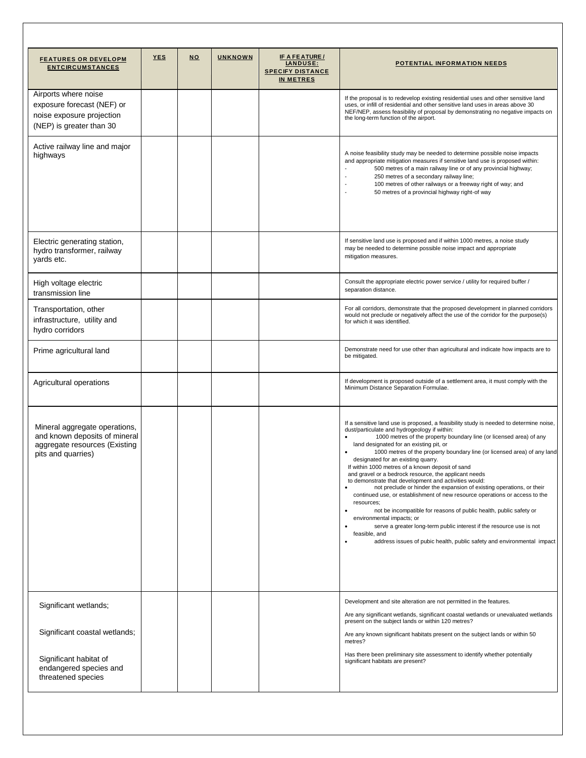| <u>FEATURES OR DEVELOPM</u><br><b>ENTCIRCUMSTANCES</b>                                                                | <b>YES</b> | <b>NO</b> | <b>UNKNOWN</b> | IF A FEATURE /<br>LANDUSE:<br><b>SPECIFY DISTANCE</b><br><b>IN METRES</b> | <b>POTENTIAL INFORMATION NEEDS</b>                                                                                                                                                                                                                                                                                                                                                                                                                                                                                                                                                                                                                                                                                                                                                                                                                                                                                                                                                                |
|-----------------------------------------------------------------------------------------------------------------------|------------|-----------|----------------|---------------------------------------------------------------------------|---------------------------------------------------------------------------------------------------------------------------------------------------------------------------------------------------------------------------------------------------------------------------------------------------------------------------------------------------------------------------------------------------------------------------------------------------------------------------------------------------------------------------------------------------------------------------------------------------------------------------------------------------------------------------------------------------------------------------------------------------------------------------------------------------------------------------------------------------------------------------------------------------------------------------------------------------------------------------------------------------|
| Airports where noise<br>exposure forecast (NEF) or<br>noise exposure projection<br>(NEP) is greater than 30           |            |           |                |                                                                           | If the proposal is to redevelop existing residential uses and other sensitive land<br>uses, or infill of residential and other sensitive land uses in areas above 30<br>NEF/NEP, assess feasibility of proposal by demonstrating no negative impacts on<br>the long-term function of the airport.                                                                                                                                                                                                                                                                                                                                                                                                                                                                                                                                                                                                                                                                                                 |
| Active railway line and major<br>highways                                                                             |            |           |                |                                                                           | A noise feasibility study may be needed to determine possible noise impacts<br>and appropriate mitigation measures if sensitive land use is proposed within:<br>$\blacksquare$<br>500 metres of a main railway line or of any provincial highway;<br>250 metres of a secondary railway line;<br>100 metres of other railways or a freeway right of way; and<br>50 metres of a provincial highway right-of way                                                                                                                                                                                                                                                                                                                                                                                                                                                                                                                                                                                     |
| Electric generating station,<br>hydro transformer, railway<br>yards etc.                                              |            |           |                |                                                                           | If sensitive land use is proposed and if within 1000 metres, a noise study<br>may be needed to determine possible noise impact and appropriate<br>mitigation measures.                                                                                                                                                                                                                                                                                                                                                                                                                                                                                                                                                                                                                                                                                                                                                                                                                            |
| High voltage electric<br>transmission line                                                                            |            |           |                |                                                                           | Consult the appropriate electric power service / utility for required buffer /<br>separation distance.                                                                                                                                                                                                                                                                                                                                                                                                                                                                                                                                                                                                                                                                                                                                                                                                                                                                                            |
| Transportation, other<br>infrastructure, utility and<br>hydro corridors                                               |            |           |                |                                                                           | For all corridors, demonstrate that the proposed development in planned corridors<br>would not preclude or negatively affect the use of the corridor for the purpose(s)<br>for which it was identified.                                                                                                                                                                                                                                                                                                                                                                                                                                                                                                                                                                                                                                                                                                                                                                                           |
| Prime agricultural land                                                                                               |            |           |                |                                                                           | Demonstrate need for use other than agricultural and indicate how impacts are to<br>be mitigated.                                                                                                                                                                                                                                                                                                                                                                                                                                                                                                                                                                                                                                                                                                                                                                                                                                                                                                 |
| Agricultural operations                                                                                               |            |           |                |                                                                           | If development is proposed outside of a settlement area, it must comply with the<br>Minimum Distance Separation Formulae.                                                                                                                                                                                                                                                                                                                                                                                                                                                                                                                                                                                                                                                                                                                                                                                                                                                                         |
| Mineral aggregate operations,<br>and known deposits of mineral<br>aggregate resources (Existing<br>pits and quarries) |            |           |                |                                                                           | If a sensitive land use is proposed, a feasibility study is needed to determine noise,<br>dust/particulate and hydrogeology if within:<br>1000 metres of the property boundary line (or licensed area) of any<br>land designated for an existing pit, or<br>1000 metres of the property boundary line (or licensed area) of any land<br>designated for an existing quarry.<br>If within 1000 metres of a known deposit of sand<br>and gravel or a bedrock resource, the applicant needs<br>to demonstrate that development and activities would:<br>not preclude or hinder the expansion of existing operations, or their<br>continued use, or establishment of new resource operations or access to the<br>resources:<br>not be incompatible for reasons of public health, public safety or<br>٠<br>environmental impacts; or<br>serve a greater long-term public interest if the resource use is not<br>feasible, and<br>address issues of pubic health, public safety and environmental impact |
| Significant wetlands;                                                                                                 |            |           |                |                                                                           | Development and site alteration are not permitted in the features.<br>Are any significant wetlands, significant coastal wetlands or unevaluated wetlands<br>present on the subject lands or within 120 metres?                                                                                                                                                                                                                                                                                                                                                                                                                                                                                                                                                                                                                                                                                                                                                                                    |
| Significant coastal wetlands;                                                                                         |            |           |                |                                                                           | Are any known significant habitats present on the subject lands or within 50<br>metres?                                                                                                                                                                                                                                                                                                                                                                                                                                                                                                                                                                                                                                                                                                                                                                                                                                                                                                           |
| Significant habitat of<br>endangered species and<br>threatened species                                                |            |           |                |                                                                           | Has there been preliminary site assessment to identify whether potentially<br>significant habitats are present?                                                                                                                                                                                                                                                                                                                                                                                                                                                                                                                                                                                                                                                                                                                                                                                                                                                                                   |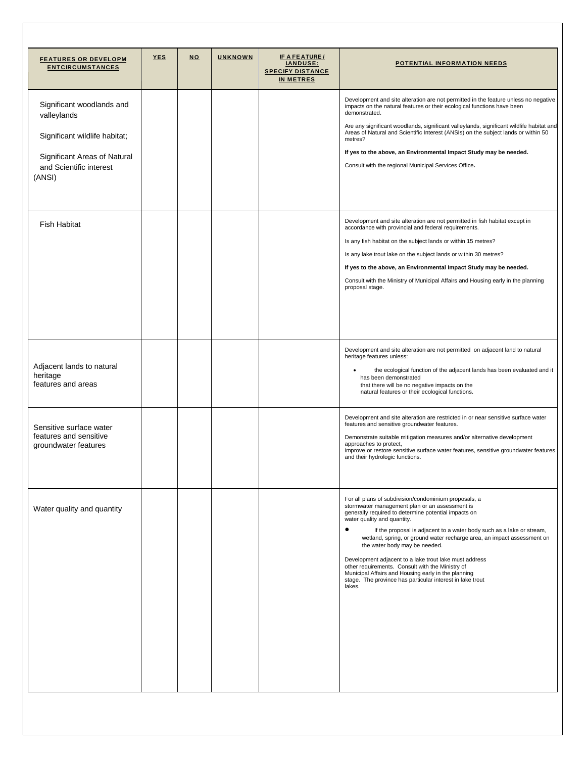| <b>FEATURES OR DEVELOPM</b><br><b>ENTCIRCUMSTANCES</b>                                                                                         | <b>YES</b> | <b>NO</b> | <b>UNKNOWN</b> | <b>IF A FEATURE/</b><br>LANDUSE:<br><b>SPECIFY DISTANCE</b><br><b>IN METRES</b> | <b>POTENTIAL INFORMATION NEEDS</b>                                                                                                                                                                                                                                                                                                                                                                                                                                                                                                                                                                                                   |
|------------------------------------------------------------------------------------------------------------------------------------------------|------------|-----------|----------------|---------------------------------------------------------------------------------|--------------------------------------------------------------------------------------------------------------------------------------------------------------------------------------------------------------------------------------------------------------------------------------------------------------------------------------------------------------------------------------------------------------------------------------------------------------------------------------------------------------------------------------------------------------------------------------------------------------------------------------|
| Significant woodlands and<br>valleylands<br>Significant wildlife habitat;<br>Significant Areas of Natural<br>and Scientific interest<br>(ANSI) |            |           |                |                                                                                 | Development and site alteration are not permitted in the feature unless no negative<br>impacts on the natural features or their ecological functions have been<br>demonstrated.<br>Are any significant woodlands, significant valleylands, significant wildlife habitat and<br>Areas of Natural and Scientific Interest (ANSIs) on the subject lands or within 50<br>metres?<br>If yes to the above, an Environmental Impact Study may be needed.<br>Consult with the regional Municipal Services Office.                                                                                                                            |
| <b>Fish Habitat</b>                                                                                                                            |            |           |                |                                                                                 | Development and site alteration are not permitted in fish habitat except in<br>accordance with provincial and federal requirements.<br>Is any fish habitat on the subject lands or within 15 metres?<br>Is any lake trout lake on the subject lands or within 30 metres?<br>If yes to the above, an Environmental Impact Study may be needed.<br>Consult with the Ministry of Municipal Affairs and Housing early in the planning<br>proposal stage.                                                                                                                                                                                 |
| Adjacent lands to natural<br>heritage<br>features and areas                                                                                    |            |           |                |                                                                                 | Development and site alteration are not permitted on adjacent land to natural<br>heritage features unless:<br>the ecological function of the adjacent lands has been evaluated and it<br>has been demonstrated<br>that there will be no negative impacts on the<br>natural features or their ecological functions.                                                                                                                                                                                                                                                                                                                   |
| Sensitive surface water<br>features and sensitive<br>groundwater features                                                                      |            |           |                |                                                                                 | Development and site alteration are restricted in or near sensitive surface water<br>features and sensitive groundwater features.<br>Demonstrate suitable mitigation measures and/or alternative development<br>approaches to protect,<br>improve or restore sensitive surface water features, sensitive groundwater features<br>and their hydrologic functions.                                                                                                                                                                                                                                                                     |
| Water quality and quantity                                                                                                                     |            |           |                |                                                                                 | For all plans of subdivision/condominium proposals, a<br>stormwater management plan or an assessment is<br>generally required to determine potential impacts on<br>water quality and quantity.<br>٠<br>If the proposal is adjacent to a water body such as a lake or stream,<br>wetland, spring, or ground water recharge area, an impact assessment on<br>the water body may be needed.<br>Development adjacent to a lake trout lake must address<br>other requirements. Consult with the Ministry of<br>Municipal Affairs and Housing early in the planning<br>stage. The province has particular interest in lake trout<br>lakes. |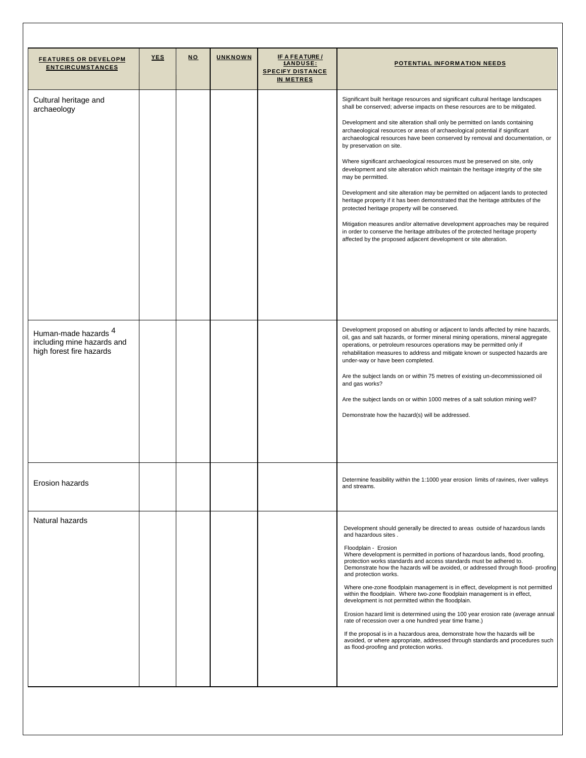| <b>FEATURES OR DEVELOPM</b><br><b>ENTCIRCUMSTANCES</b>                                    | <b>YES</b> | <b>NO</b> | <b>UNKNOWN</b> | <b>IF A FEATURE/</b><br><b>LANDUSE:</b><br><b>SPECIFY DISTANCE</b><br><b>IN METRES</b> | POTENTIAL INFORMATION NEEDS                                                                                                                                                                                                                                                                                                                                           |
|-------------------------------------------------------------------------------------------|------------|-----------|----------------|----------------------------------------------------------------------------------------|-----------------------------------------------------------------------------------------------------------------------------------------------------------------------------------------------------------------------------------------------------------------------------------------------------------------------------------------------------------------------|
| Cultural heritage and<br>archaeology                                                      |            |           |                |                                                                                        | Significant built heritage resources and significant cultural heritage landscapes<br>shall be conserved; adverse impacts on these resources are to be mitigated.                                                                                                                                                                                                      |
|                                                                                           |            |           |                |                                                                                        | Development and site alteration shall only be permitted on lands containing<br>archaeological resources or areas of archaeological potential if significant<br>archaeological resources have been conserved by removal and documentation, or<br>by preservation on site.                                                                                              |
|                                                                                           |            |           |                |                                                                                        | Where significant archaeological resources must be preserved on site, only<br>development and site alteration which maintain the heritage integrity of the site<br>may be permitted.                                                                                                                                                                                  |
|                                                                                           |            |           |                |                                                                                        | Development and site alteration may be permitted on adjacent lands to protected<br>heritage property if it has been demonstrated that the heritage attributes of the<br>protected heritage property will be conserved.                                                                                                                                                |
|                                                                                           |            |           |                |                                                                                        | Mitigation measures and/or alternative development approaches may be required<br>in order to conserve the heritage attributes of the protected heritage property<br>affected by the proposed adjacent development or site alteration.                                                                                                                                 |
|                                                                                           |            |           |                |                                                                                        |                                                                                                                                                                                                                                                                                                                                                                       |
|                                                                                           |            |           |                |                                                                                        |                                                                                                                                                                                                                                                                                                                                                                       |
| Human-made hazards <sup>4</sup><br>including mine hazards and<br>high forest fire hazards |            |           |                |                                                                                        | Development proposed on abutting or adjacent to lands affected by mine hazards,<br>oil, gas and salt hazards, or former mineral mining operations, mineral aggregate<br>operations, or petroleum resources operations may be permitted only if<br>rehabilitation measures to address and mitigate known or suspected hazards are<br>under-way or have been completed. |
|                                                                                           |            |           |                |                                                                                        | Are the subject lands on or within 75 metres of existing un-decommissioned oil<br>and gas works?                                                                                                                                                                                                                                                                      |
|                                                                                           |            |           |                |                                                                                        | Are the subject lands on or within 1000 metres of a salt solution mining well?                                                                                                                                                                                                                                                                                        |
|                                                                                           |            |           |                |                                                                                        | Demonstrate how the hazard(s) will be addressed.                                                                                                                                                                                                                                                                                                                      |
|                                                                                           |            |           |                |                                                                                        |                                                                                                                                                                                                                                                                                                                                                                       |
| Erosion hazards                                                                           |            |           |                |                                                                                        | Determine feasibility within the 1:1000 year erosion limits of ravines, river valleys<br>and streams.                                                                                                                                                                                                                                                                 |
| Natural hazards                                                                           |            |           |                |                                                                                        | Development should generally be directed to areas outside of hazardous lands<br>and hazardous sites.                                                                                                                                                                                                                                                                  |
|                                                                                           |            |           |                |                                                                                        | Floodplain - Erosion<br>Where development is permitted in portions of hazardous lands, flood proofing,<br>protection works standards and access standards must be adhered to.<br>Demonstrate how the hazards will be avoided, or addressed through flood-proofing<br>and protection works.                                                                            |
|                                                                                           |            |           |                |                                                                                        | Where one-zone floodplain management is in effect, development is not permitted<br>within the floodplain. Where two-zone floodplain management is in effect,<br>development is not permitted within the floodplain.                                                                                                                                                   |
|                                                                                           |            |           |                |                                                                                        | Erosion hazard limit is determined using the 100 year erosion rate (average annual<br>rate of recession over a one hundred year time frame.)                                                                                                                                                                                                                          |
|                                                                                           |            |           |                |                                                                                        | If the proposal is in a hazardous area, demonstrate how the hazards will be<br>avoided, or where appropriate, addressed through standards and procedures such<br>as flood-proofing and protection works.                                                                                                                                                              |
|                                                                                           |            |           |                |                                                                                        |                                                                                                                                                                                                                                                                                                                                                                       |
|                                                                                           |            |           |                |                                                                                        |                                                                                                                                                                                                                                                                                                                                                                       |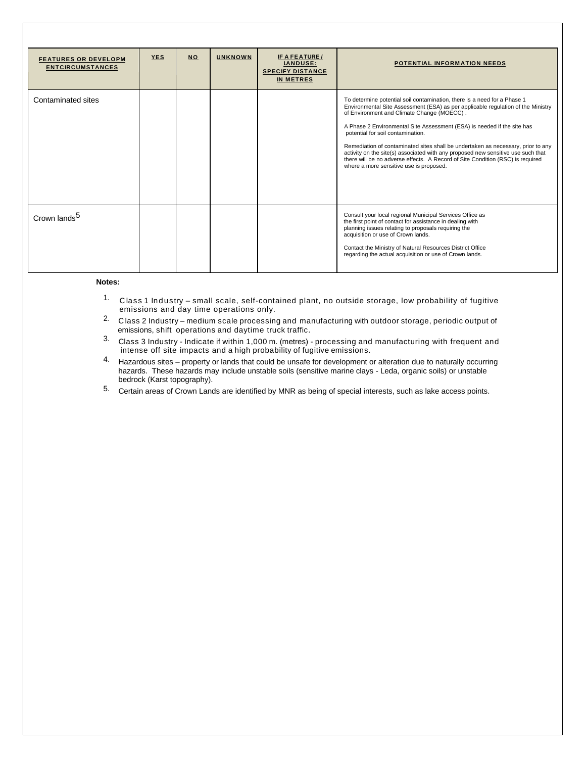| <b>FEATURES OR DEVELOPM</b><br><b>ENTCIRCUMSTANCES</b> | <b>YES</b> | <b>NO</b> | <b>UNKNOWN</b> | IF A FEATURE /<br><b>LANDUSE:</b><br><b>SPECIFY DISTANCE</b><br>IN METRES | <b>POTENTIAL INFORMATION NEEDS</b>                                                                                                                                                                                                                                                                                                                                                                                                                                                                                                                                                                                              |
|--------------------------------------------------------|------------|-----------|----------------|---------------------------------------------------------------------------|---------------------------------------------------------------------------------------------------------------------------------------------------------------------------------------------------------------------------------------------------------------------------------------------------------------------------------------------------------------------------------------------------------------------------------------------------------------------------------------------------------------------------------------------------------------------------------------------------------------------------------|
| Contaminated sites                                     |            |           |                |                                                                           | To determine potential soil contamination, there is a need for a Phase 1<br>Environmental Site Assessment (ESA) as per applicable regulation of the Ministry<br>of Environment and Climate Change (MOECC).<br>A Phase 2 Environmental Site Assessment (ESA) is needed if the site has<br>potential for soil contamination.<br>Remediation of contaminated sites shall be undertaken as necessary, prior to any<br>activity on the site(s) associated with any proposed new sensitive use such that<br>there will be no adverse effects. A Record of Site Condition (RSC) is required<br>where a more sensitive use is proposed. |
| Crown lands <sup>5</sup>                               |            |           |                |                                                                           | Consult your local regional Municipal Services Office as<br>the first point of contact for assistance in dealing with<br>planning issues relating to proposals requiring the<br>acquisition or use of Crown lands.<br>Contact the Ministry of Natural Resources District Office<br>regarding the actual acquisition or use of Crown lands.                                                                                                                                                                                                                                                                                      |

#### **Notes:**

- 1. Class 1 Industry small scale, self-contained plant, no outside storage, low probability of fugitive emissions and day time operations only.
- 2. Class 2 Industry medium scale processing and manufacturing with outdoor storage, periodic output of emissions, shift operations and daytime truck traffic.
- $^{\rm 3.~}$  Class 3 Industry Indicate if within 1,000 m. (metres) processing and manufacturing with frequent and intense off site impacts and a high probability of fugitive emissions.
- 4. Hazardous sites property or lands that could be unsafe for development or alteration due to naturally occurring hazards. These hazards may include unstable soils (sensitive marine clays - Leda, organic soils) or unstable bedrock (Karst topography).
- 5. Certain areas of Crown Lands are identified by MNR as being of special interests, such as lake access points.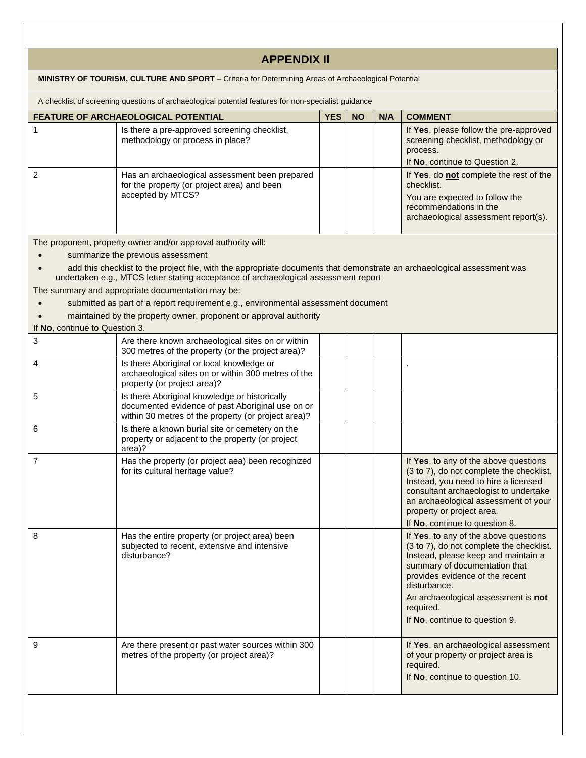|                                | <b>APPENDIX II</b>                                                                                                                                                                                                                                                                                                                                                                                                                                                                                                                   |            |           |     |                                                                                                                                                                                                                                                                                                    |
|--------------------------------|--------------------------------------------------------------------------------------------------------------------------------------------------------------------------------------------------------------------------------------------------------------------------------------------------------------------------------------------------------------------------------------------------------------------------------------------------------------------------------------------------------------------------------------|------------|-----------|-----|----------------------------------------------------------------------------------------------------------------------------------------------------------------------------------------------------------------------------------------------------------------------------------------------------|
|                                | MINISTRY OF TOURISM, CULTURE AND SPORT - Criteria for Determining Areas of Archaeological Potential                                                                                                                                                                                                                                                                                                                                                                                                                                  |            |           |     |                                                                                                                                                                                                                                                                                                    |
|                                | A checklist of screening questions of archaeological potential features for non-specialist guidance                                                                                                                                                                                                                                                                                                                                                                                                                                  |            |           |     |                                                                                                                                                                                                                                                                                                    |
|                                | FEATURE OF ARCHAEOLOGICAL POTENTIAL                                                                                                                                                                                                                                                                                                                                                                                                                                                                                                  | <b>YES</b> | <b>NO</b> | N/A | <b>COMMENT</b>                                                                                                                                                                                                                                                                                     |
| 1                              | Is there a pre-approved screening checklist,<br>methodology or process in place?                                                                                                                                                                                                                                                                                                                                                                                                                                                     |            |           |     | If Yes, please follow the pre-approved<br>screening checklist, methodology or<br>process.<br>If No, continue to Question 2.                                                                                                                                                                        |
| 2                              | Has an archaeological assessment been prepared<br>for the property (or project area) and been<br>accepted by MTCS?                                                                                                                                                                                                                                                                                                                                                                                                                   |            |           |     | If Yes, do not complete the rest of the<br>checklist.<br>You are expected to follow the<br>recommendations in the<br>archaeological assessment report(s).                                                                                                                                          |
| If No, continue to Question 3. | The proponent, property owner and/or approval authority will:<br>summarize the previous assessment<br>add this checklist to the project file, with the appropriate documents that demonstrate an archaeological assessment was<br>undertaken e.g., MTCS letter stating acceptance of archaeological assessment report<br>The summary and appropriate documentation may be:<br>submitted as part of a report requirement e.g., environmental assessment document<br>maintained by the property owner, proponent or approval authority |            |           |     |                                                                                                                                                                                                                                                                                                    |
| 3                              | Are there known archaeological sites on or within                                                                                                                                                                                                                                                                                                                                                                                                                                                                                    |            |           |     |                                                                                                                                                                                                                                                                                                    |
|                                | 300 metres of the property (or the project area)?                                                                                                                                                                                                                                                                                                                                                                                                                                                                                    |            |           |     |                                                                                                                                                                                                                                                                                                    |
| 4                              | Is there Aboriginal or local knowledge or<br>archaeological sites on or within 300 metres of the<br>property (or project area)?                                                                                                                                                                                                                                                                                                                                                                                                      |            |           |     |                                                                                                                                                                                                                                                                                                    |
| 5                              | Is there Aboriginal knowledge or historically<br>documented evidence of past Aboriginal use on or<br>within 30 metres of the property (or project area)?                                                                                                                                                                                                                                                                                                                                                                             |            |           |     |                                                                                                                                                                                                                                                                                                    |
| 6                              | Is there a known burial site or cemetery on the<br>property or adjacent to the property (or project<br>area)?                                                                                                                                                                                                                                                                                                                                                                                                                        |            |           |     |                                                                                                                                                                                                                                                                                                    |
| 7                              | Has the property (or project aea) been recognized<br>for its cultural heritage value?                                                                                                                                                                                                                                                                                                                                                                                                                                                |            |           |     | If Yes, to any of the above questions<br>(3 to 7), do not complete the checklist.<br>Instead, you need to hire a licensed<br>consultant archaeologist to undertake<br>an archaeological assessment of your<br>property or project area.<br>If No, continue to question 8.                          |
| 8                              | Has the entire property (or project area) been<br>subjected to recent, extensive and intensive<br>disturbance?                                                                                                                                                                                                                                                                                                                                                                                                                       |            |           |     | If Yes, to any of the above questions<br>(3 to 7), do not complete the checklist.<br>Instead, please keep and maintain a<br>summary of documentation that<br>provides evidence of the recent<br>disturbance.<br>An archaeological assessment is not<br>required.<br>If No, continue to question 9. |
| 9                              | Are there present or past water sources within 300<br>metres of the property (or project area)?                                                                                                                                                                                                                                                                                                                                                                                                                                      |            |           |     | If Yes, an archaeological assessment<br>of your property or project area is<br>required.<br>If No, continue to question 10.                                                                                                                                                                        |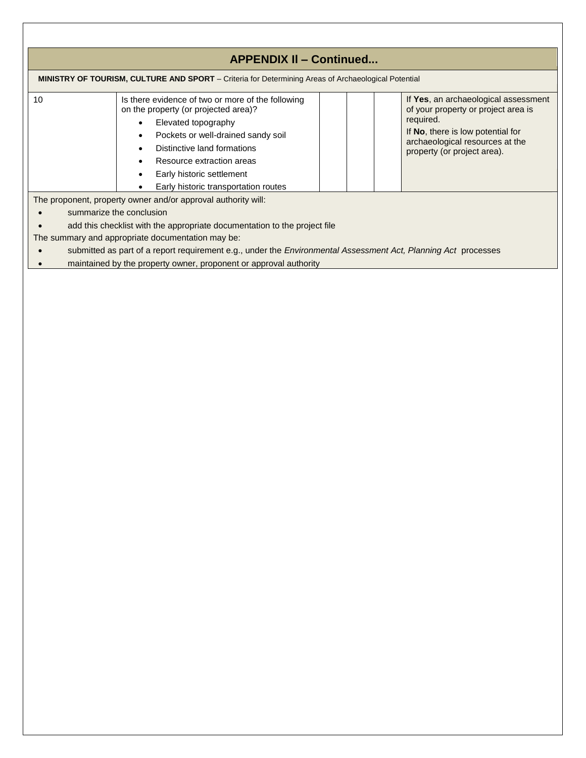|    | <b>APPENDIX II - Continued</b>                                                                                                                                                                                                                                                          |  |                                                                                                                                                                                                 |
|----|-----------------------------------------------------------------------------------------------------------------------------------------------------------------------------------------------------------------------------------------------------------------------------------------|--|-------------------------------------------------------------------------------------------------------------------------------------------------------------------------------------------------|
|    | <b>MINISTRY OF TOURISM, CULTURE AND SPORT</b> – Criteria for Determining Areas of Archaeological Potential                                                                                                                                                                              |  |                                                                                                                                                                                                 |
| 10 | Is there evidence of two or more of the following<br>on the property (or projected area)?<br>Elevated topography<br>Pockets or well-drained sandy soil<br>Distinctive land formations<br>Resource extraction areas<br>Early historic settlement<br>Early historic transportation routes |  | If Yes, an archaeological assessment<br>of your property or project area is<br>required.<br>If No, there is low potential for<br>archaeological resources at the<br>property (or project area). |
|    | The proponent, property owner and/or approval authority will:                                                                                                                                                                                                                           |  |                                                                                                                                                                                                 |
|    | summarize the conclusion                                                                                                                                                                                                                                                                |  |                                                                                                                                                                                                 |
|    | add this checklist with the appropriate documentation to the project file                                                                                                                                                                                                               |  |                                                                                                                                                                                                 |
|    | The summary and appropriate documentation may be:                                                                                                                                                                                                                                       |  |                                                                                                                                                                                                 |
|    | submitted as part of a report requirement e.g., under the <i>Environmental Assessment Act</i> , <i>Planning Act</i> processes                                                                                                                                                           |  |                                                                                                                                                                                                 |
|    | maintained by the property owner, proponent or approval authority                                                                                                                                                                                                                       |  |                                                                                                                                                                                                 |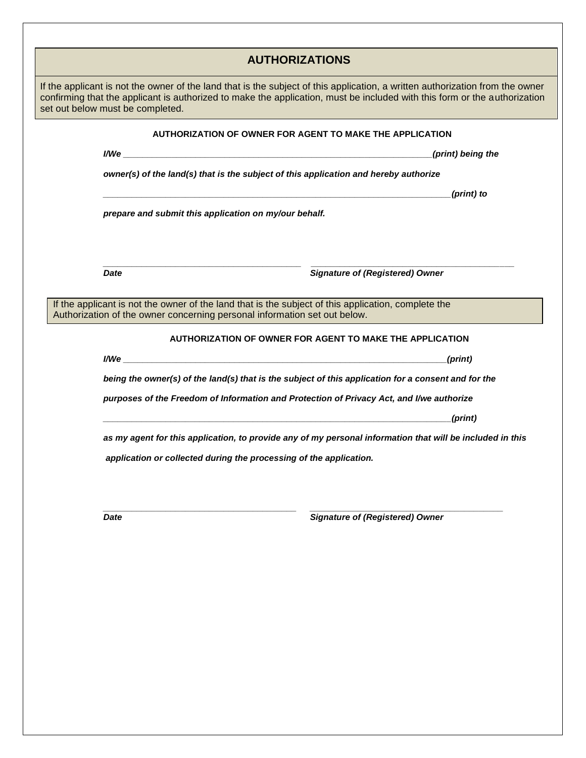| If the applicant is not the owner of the land that is the subject of this application, a written authorization from the owner<br>confirming that the applicant is authorized to make the application, must be included with this form or the authorization<br>set out below must be completed.<br>AUTHORIZATION OF OWNER FOR AGENT TO MAKE THE APPLICATION<br>(print) being the<br>owner(s) of the land(s) that is the subject of this application and hereby authorize<br>(print) to<br>prepare and submit this application on my/our behalf.<br><b>Signature of (Registered) Owner</b><br><b>Date</b><br>If the applicant is not the owner of the land that is the subject of this application, complete the<br>Authorization of the owner concerning personal information set out below.<br>AUTHORIZATION OF OWNER FOR AGENT TO MAKE THE APPLICATION<br>(print)<br>being the owner(s) of the land(s) that is the subject of this application for a consent and for the<br>purposes of the Freedom of Information and Protection of Privacy Act, and I/we authorize<br>(print)<br><u> 1989 - Johann Stoff, deutscher Stoff, der Stoff, der Stoff, der Stoff, der Stoff, der Stoff, der Stoff, der S</u><br>as my agent for this application, to provide any of my personal information that will be included in this<br>application or collected during the processing of the application. |  | <b>AUTHORIZATIONS</b> |
|----------------------------------------------------------------------------------------------------------------------------------------------------------------------------------------------------------------------------------------------------------------------------------------------------------------------------------------------------------------------------------------------------------------------------------------------------------------------------------------------------------------------------------------------------------------------------------------------------------------------------------------------------------------------------------------------------------------------------------------------------------------------------------------------------------------------------------------------------------------------------------------------------------------------------------------------------------------------------------------------------------------------------------------------------------------------------------------------------------------------------------------------------------------------------------------------------------------------------------------------------------------------------------------------------------------------------------------------------------------------------------------------|--|-----------------------|
|                                                                                                                                                                                                                                                                                                                                                                                                                                                                                                                                                                                                                                                                                                                                                                                                                                                                                                                                                                                                                                                                                                                                                                                                                                                                                                                                                                                              |  |                       |
|                                                                                                                                                                                                                                                                                                                                                                                                                                                                                                                                                                                                                                                                                                                                                                                                                                                                                                                                                                                                                                                                                                                                                                                                                                                                                                                                                                                              |  |                       |
|                                                                                                                                                                                                                                                                                                                                                                                                                                                                                                                                                                                                                                                                                                                                                                                                                                                                                                                                                                                                                                                                                                                                                                                                                                                                                                                                                                                              |  |                       |
|                                                                                                                                                                                                                                                                                                                                                                                                                                                                                                                                                                                                                                                                                                                                                                                                                                                                                                                                                                                                                                                                                                                                                                                                                                                                                                                                                                                              |  |                       |
|                                                                                                                                                                                                                                                                                                                                                                                                                                                                                                                                                                                                                                                                                                                                                                                                                                                                                                                                                                                                                                                                                                                                                                                                                                                                                                                                                                                              |  |                       |
|                                                                                                                                                                                                                                                                                                                                                                                                                                                                                                                                                                                                                                                                                                                                                                                                                                                                                                                                                                                                                                                                                                                                                                                                                                                                                                                                                                                              |  |                       |
|                                                                                                                                                                                                                                                                                                                                                                                                                                                                                                                                                                                                                                                                                                                                                                                                                                                                                                                                                                                                                                                                                                                                                                                                                                                                                                                                                                                              |  |                       |
|                                                                                                                                                                                                                                                                                                                                                                                                                                                                                                                                                                                                                                                                                                                                                                                                                                                                                                                                                                                                                                                                                                                                                                                                                                                                                                                                                                                              |  |                       |
|                                                                                                                                                                                                                                                                                                                                                                                                                                                                                                                                                                                                                                                                                                                                                                                                                                                                                                                                                                                                                                                                                                                                                                                                                                                                                                                                                                                              |  |                       |
|                                                                                                                                                                                                                                                                                                                                                                                                                                                                                                                                                                                                                                                                                                                                                                                                                                                                                                                                                                                                                                                                                                                                                                                                                                                                                                                                                                                              |  |                       |
|                                                                                                                                                                                                                                                                                                                                                                                                                                                                                                                                                                                                                                                                                                                                                                                                                                                                                                                                                                                                                                                                                                                                                                                                                                                                                                                                                                                              |  |                       |
|                                                                                                                                                                                                                                                                                                                                                                                                                                                                                                                                                                                                                                                                                                                                                                                                                                                                                                                                                                                                                                                                                                                                                                                                                                                                                                                                                                                              |  |                       |
|                                                                                                                                                                                                                                                                                                                                                                                                                                                                                                                                                                                                                                                                                                                                                                                                                                                                                                                                                                                                                                                                                                                                                                                                                                                                                                                                                                                              |  |                       |
|                                                                                                                                                                                                                                                                                                                                                                                                                                                                                                                                                                                                                                                                                                                                                                                                                                                                                                                                                                                                                                                                                                                                                                                                                                                                                                                                                                                              |  |                       |
|                                                                                                                                                                                                                                                                                                                                                                                                                                                                                                                                                                                                                                                                                                                                                                                                                                                                                                                                                                                                                                                                                                                                                                                                                                                                                                                                                                                              |  |                       |
|                                                                                                                                                                                                                                                                                                                                                                                                                                                                                                                                                                                                                                                                                                                                                                                                                                                                                                                                                                                                                                                                                                                                                                                                                                                                                                                                                                                              |  |                       |
|                                                                                                                                                                                                                                                                                                                                                                                                                                                                                                                                                                                                                                                                                                                                                                                                                                                                                                                                                                                                                                                                                                                                                                                                                                                                                                                                                                                              |  |                       |
|                                                                                                                                                                                                                                                                                                                                                                                                                                                                                                                                                                                                                                                                                                                                                                                                                                                                                                                                                                                                                                                                                                                                                                                                                                                                                                                                                                                              |  |                       |
| <b>Signature of (Registered) Owner</b><br><b>Date</b>                                                                                                                                                                                                                                                                                                                                                                                                                                                                                                                                                                                                                                                                                                                                                                                                                                                                                                                                                                                                                                                                                                                                                                                                                                                                                                                                        |  |                       |